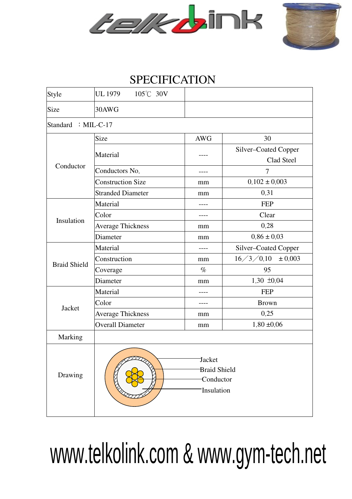



## SPECIFICATION

| Style               | <b>UL 1979</b><br>$105^{\circ}$ C 30V                           |            |                                    |  |  |  |  |  |  |
|---------------------|-----------------------------------------------------------------|------------|------------------------------------|--|--|--|--|--|--|
| Size                | 30AWG                                                           |            |                                    |  |  |  |  |  |  |
| Standard : MIL-C-17 |                                                                 |            |                                    |  |  |  |  |  |  |
| Conductor           | Size                                                            | <b>AWG</b> | 30                                 |  |  |  |  |  |  |
|                     | Material                                                        |            | Silver-Coated Copper<br>Clad Steel |  |  |  |  |  |  |
|                     | Conductors No.                                                  |            | 7                                  |  |  |  |  |  |  |
|                     | <b>Construction Size</b>                                        | mm         | $0.102 \pm 0.003$                  |  |  |  |  |  |  |
|                     | <b>Stranded Diameter</b>                                        | mm         | 0.31                               |  |  |  |  |  |  |
| Insulation          | Material                                                        |            | <b>FEP</b>                         |  |  |  |  |  |  |
|                     | Color                                                           | ----       | Clear                              |  |  |  |  |  |  |
|                     | <b>Average Thickness</b>                                        | mm         | 0.28                               |  |  |  |  |  |  |
|                     | Diameter                                                        | mm         | $0.86 \pm 0.03$                    |  |  |  |  |  |  |
| <b>Braid Shield</b> | Material                                                        |            | Silver-Coated Copper               |  |  |  |  |  |  |
|                     | Construction                                                    | mm         | $16 \div 3 \div 0.10 = 0.003$      |  |  |  |  |  |  |
|                     | Coverage                                                        | $\%$       | 95                                 |  |  |  |  |  |  |
|                     | Diameter                                                        | mm         | $1.30 \pm 0.04$                    |  |  |  |  |  |  |
| Jacket              | Material                                                        |            | <b>FEP</b>                         |  |  |  |  |  |  |
|                     | Color                                                           |            | <b>Brown</b>                       |  |  |  |  |  |  |
|                     | <b>Average Thickness</b>                                        | mm         | 0.25                               |  |  |  |  |  |  |
|                     | <b>Overall Diameter</b>                                         | mm         | $1.80 \pm 0.06$                    |  |  |  |  |  |  |
| Marking             |                                                                 |            |                                    |  |  |  |  |  |  |
| Drawing             | <b>Jacket</b><br><b>Braid Shield</b><br>Conductor<br>Insulation |            |                                    |  |  |  |  |  |  |

## www.telkolink.com & www.gym-tech.net